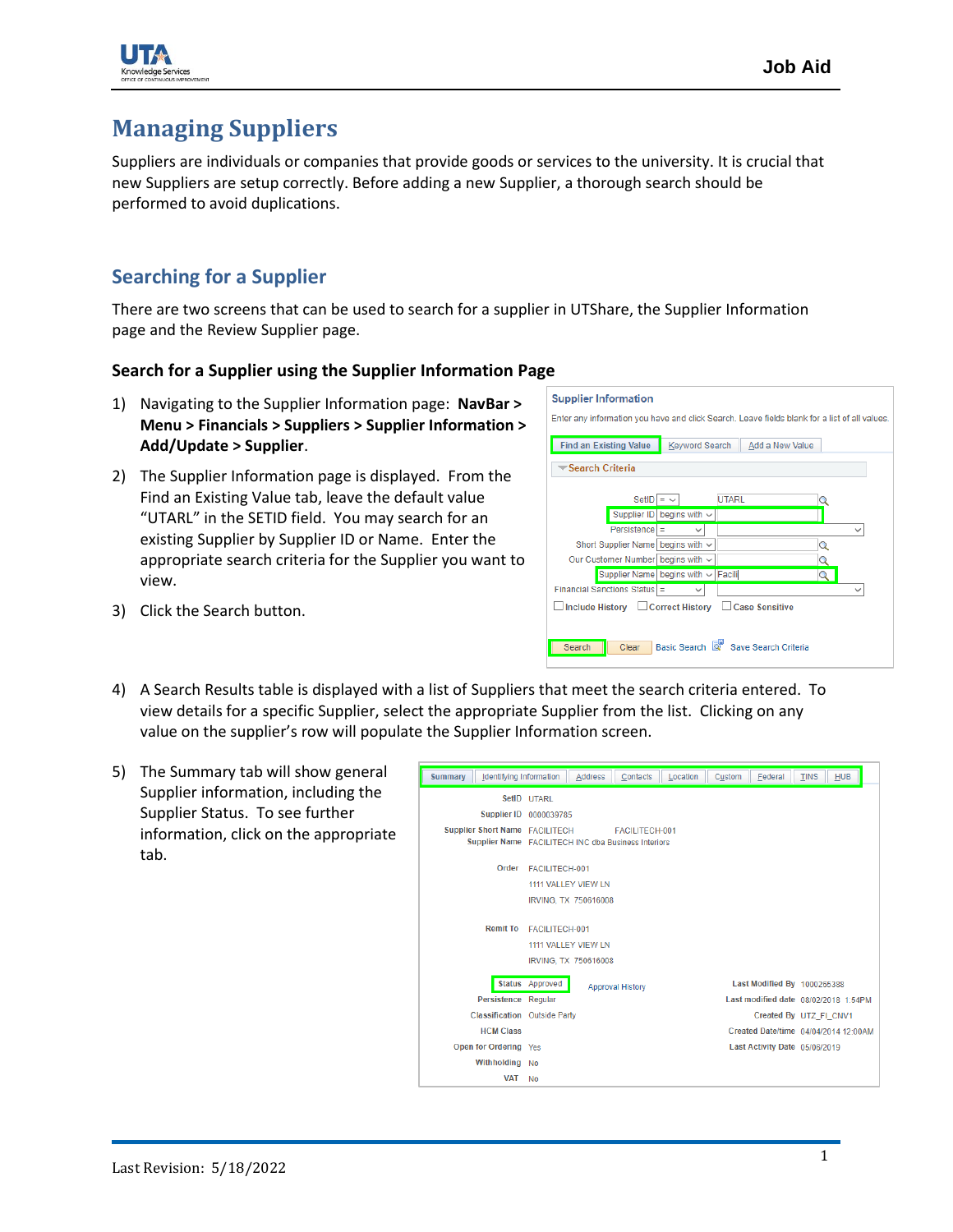

# **Managing Suppliers**

Suppliers are individuals or companies that provide goods or services to the university. It is crucial that new Suppliers are setup correctly. Before adding a new Supplier, a thorough search should be performed to avoid duplications.

## **Searching for a Supplier**

There are two screens that can be used to search for a supplier in UTShare, the Supplier Information page and the Review Supplier page.

### **Search for a Supplier using the Supplier Information Page**

- 1) Navigating to the Supplier Information page: **NavBar > Menu > Financials > Suppliers > Supplier Information > Add/Update > Supplier**.
- 2) The Supplier Information page is displayed. From the Find an Existing Value tab, leave the default value "UTARL" in the SETID field. You may search for an existing Supplier by Supplier ID or Name. Enter the appropriate search criteria for the Supplier you want to view.
- Enter any information you have and click Search. Leave fields blank for a list of all values. Find an Existing Value Keyword Search Add a New Value Search Criteria SetID  $=$   $\sqrt{}$ **UTARL** Supplier ID begins with ~  $Persistence$  =  $\overline{\phantom{0}}$ ▽ Short Supplier Name begins with v  $\ddot{Q}$ Our Customer Number begins with ~ Supplier Name begins with v Facili Financial Sanctions Status =  $\overline{\phantom{a}}$ □ Include History □ Correct History □ Case Sensitive Search | Clear Basic Search | Save Search Criteria

**Supplier Information** 

- 3) Click the Search button.
- 4) A Search Results table is displayed with a list of Suppliers that meet the search criteria entered. To view details for a specific Supplier, select the appropriate Supplier from the list. Clicking on any value on the supplier's row will populate the Supplier Information screen.
- 5) The Summary tab will show general Supplier information, including the Supplier Status. To see further information, click on the appropriate tab.

| Summary<br><b>Identifying Information</b> | <b>Address</b>                                                        | Contacts                | Location | Custom | Federal                       | <b>TINS</b>                          | <b>HUB</b>                           |  |
|-------------------------------------------|-----------------------------------------------------------------------|-------------------------|----------|--------|-------------------------------|--------------------------------------|--------------------------------------|--|
| Supplier ID                               | SetID UTARL<br>0000039785                                             |                         |          |        |                               |                                      |                                      |  |
| Supplier Short Name FACILITECH            | FACILITECH-001<br>Supplier Name FACILITECH INC dba Business Interiors |                         |          |        |                               |                                      |                                      |  |
| Order                                     | FACILITECH-001<br>1111 VALLEY VIEW LN<br>IRVING, TX 750616008         |                         |          |        |                               |                                      |                                      |  |
| <b>Remit To</b>                           | FACILITECH-001<br>1111 VALLEY VIEW LN<br>IRVING, TX 750616008         |                         |          |        |                               |                                      |                                      |  |
|                                           | Status Approved                                                       | <b>Approval History</b> |          |        | Last Modified By 1000265388   |                                      |                                      |  |
| Persistence Regular                       |                                                                       |                         |          |        |                               | Last modified date 08/02/2018 1:54PM |                                      |  |
| <b>Classification</b> Outside Party       |                                                                       |                         |          |        | Created By UTZ FI CNV1        |                                      |                                      |  |
| <b>HCM Class</b>                          |                                                                       |                         |          |        |                               |                                      | Created Date/time 04/04/2014 12:00AM |  |
| Open for Ordering Yes                     |                                                                       |                         |          |        | Last Activity Date 05/06/2019 |                                      |                                      |  |
| Withholding No                            |                                                                       |                         |          |        |                               |                                      |                                      |  |
| <b>VAT</b>                                | <b>No</b>                                                             |                         |          |        |                               |                                      |                                      |  |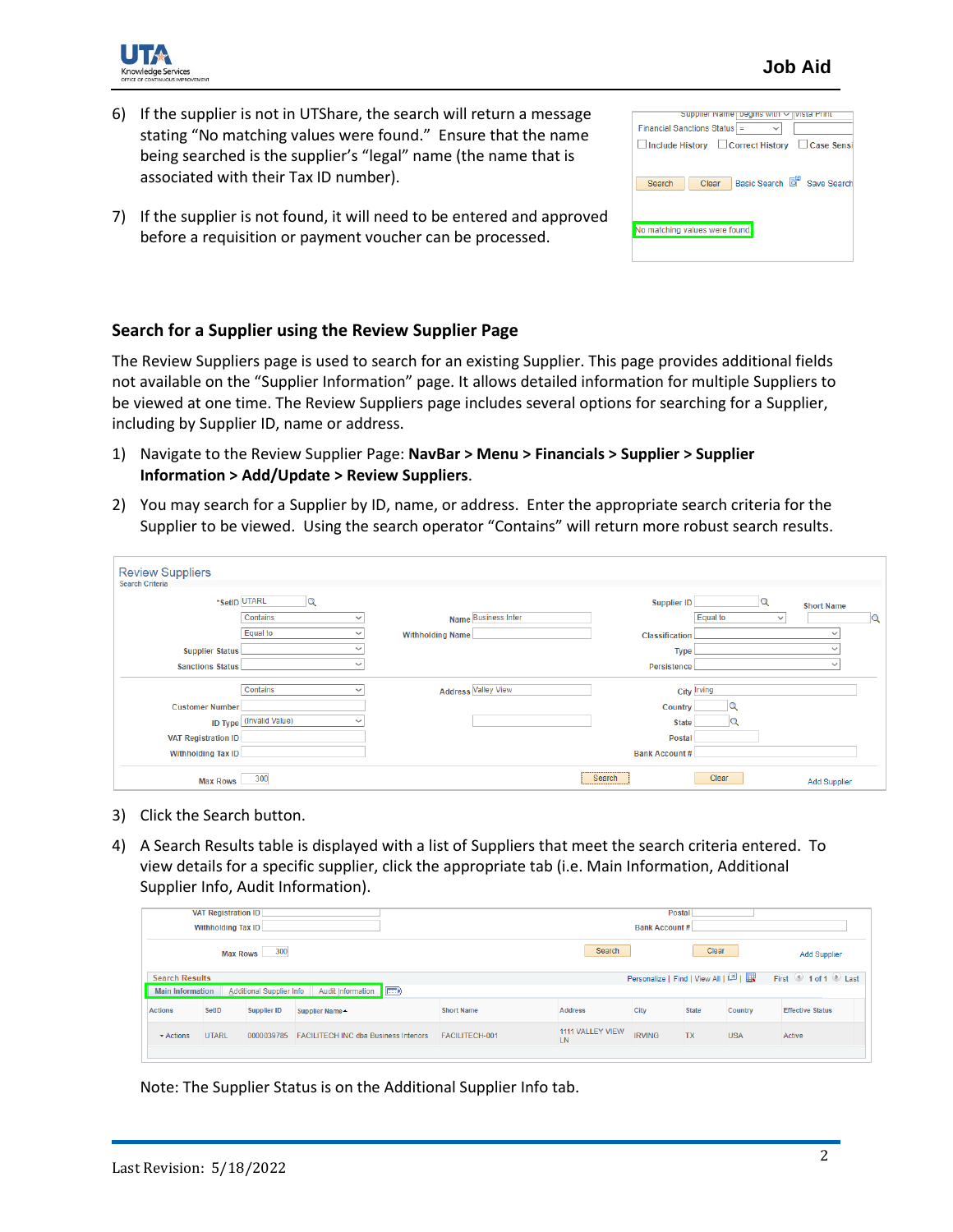

- 6) If the supplier is not in UTShare, the search will return a message stating "No matching values were found." Ensure that the name being searched is the supplier's "legal" name (the name that is associated with their Tax ID number).
- 7) If the supplier is not found, it will need to be entered and approved before a requisition or payment voucher can be processed.

| Supplier Name   begins with $\vee$  <br>vista Print<br>Financial Sanctions Status = |
|-------------------------------------------------------------------------------------|
| □ Include History □ Correct History □ Case Sensi                                    |
| Basic Search & Save Search<br>Search<br>Clear                                       |
| No matching values were found.                                                      |
|                                                                                     |

#### **Search for a Supplier using the Review Supplier Page**

The Review Suppliers page is used to search for an existing Supplier. This page provides additional fields not available on the "Supplier Information" page. It allows detailed information for multiple Suppliers to be viewed at one time. The Review Suppliers page includes several options for searching for a Supplier, including by Supplier ID, name or address.

- 1) Navigate to the Review Supplier Page: **NavBar > Menu > Financials > Supplier > Supplier Information > Add/Update > Review Suppliers**.
- 2) You may search for a Supplier by ID, name, or address. Enter the appropriate search criteria for the Supplier to be viewed. Using the search operator "Contains" will return more robust search results.

| <b>Review Suppliers</b><br><b>Search Criteria</b> |                                |                         |                            |                      |                          |                     |                |
|---------------------------------------------------|--------------------------------|-------------------------|----------------------------|----------------------|--------------------------|---------------------|----------------|
|                                                   | *SetID UTARL                   |                         |                            | <b>Supplier ID</b>   |                          | <b>Short Name</b>   |                |
|                                                   | Contains<br>$\sim$             |                         | Name Business Inter        |                      | Equal to<br>$\checkmark$ |                     | $\overline{Q}$ |
|                                                   | Equal to                       | <b>Withholding Name</b> |                            | Classification       |                          |                     |                |
| <b>Supplier Status</b>                            |                                |                         |                            | <b>Type</b>          |                          | $\sim$              |                |
| <b>Sanctions Status</b>                           |                                |                         |                            | Persistence          |                          | $\checkmark$        |                |
|                                                   | Contains                       |                         | <b>Address Valley View</b> |                      | <b>City Irving</b>       |                     |                |
| <b>Customer Number</b>                            |                                |                         |                            | Country              |                          |                     |                |
|                                                   | <b>ID Type</b> (Invalid Value) |                         |                            | <b>State</b>         |                          |                     |                |
| <b>VAT Registration ID</b>                        |                                |                         |                            | <b>Postal</b>        |                          |                     |                |
| <b>Withholding Tax ID</b>                         |                                |                         |                            | <b>Bank Account#</b> |                          |                     |                |
| <b>Max Rows</b>                                   | 300                            |                         |                            | Search               | Clear                    | <b>Add Supplier</b> |                |

- 3) Click the Search button.
- 4) A Search Results table is displayed with a list of Suppliers that meet the search criteria entered. To view details for a specific supplier, click the appropriate tab (i.e. Main Information, Additional Supplier Info, Audit Information).

| <b>VAT Registration ID</b><br><b>Withholding Tax ID</b>                                                                                                                                      |              |             |                                              | <b>Postal</b><br><b>Bank Account#</b> |                   |                        |               |              |            |                         |
|----------------------------------------------------------------------------------------------------------------------------------------------------------------------------------------------|--------------|-------------|----------------------------------------------|---------------------------------------|-------------------|------------------------|---------------|--------------|------------|-------------------------|
| Clear<br>Search<br>300<br><b>Max Rows</b>                                                                                                                                                    |              |             |                                              |                                       |                   | <b>Add Supplier</b>    |               |              |            |                         |
| First 1 of 1 D Last<br>Personalize   Find   View All   2    <br><b>Search Results</b><br><b>ED</b><br><b>Audit Information</b><br><b>Additional Supplier Info</b><br><b>Main Information</b> |              |             |                                              |                                       |                   |                        |               |              |            |                         |
| <b>Actions</b>                                                                                                                                                                               | SetID        | Supplier ID | <b>Supplier Name▲</b>                        |                                       | <b>Short Name</b> | <b>Address</b>         | City          | <b>State</b> | Country    | <b>Effective Status</b> |
| $\blacktriangleright$ Actions                                                                                                                                                                | <b>UTARL</b> | 0000039785  | <b>FACILITECH INC dba Business Interiors</b> |                                       | FACILITECH-001    | 1111 VALLEY VIEW<br>LN | <b>IRVING</b> | <b>TX</b>    | <b>USA</b> | Active                  |
|                                                                                                                                                                                              |              |             |                                              |                                       |                   |                        |               |              |            |                         |

Note: The Supplier Status is on the Additional Supplier Info tab.